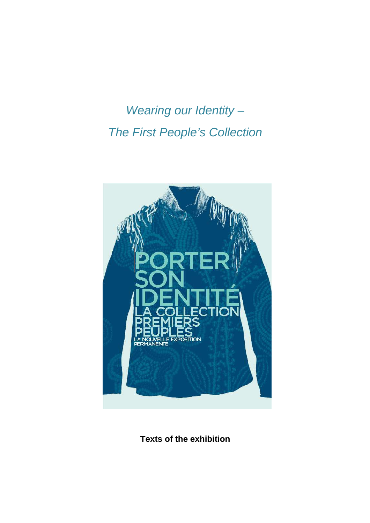Wearing our Identity -The First People's Collection



**Texts of the exhibition**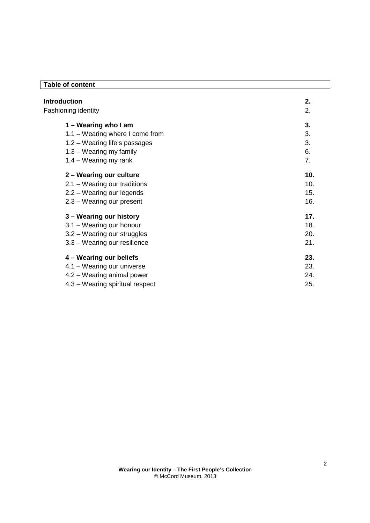# **Table of content**

| <b>Introduction</b> |                                 | 2.  |  |
|---------------------|---------------------------------|-----|--|
|                     | Fashioning identity             | 2.  |  |
|                     | 1 – Wearing who I am            | 3.  |  |
|                     | 1.1 - Wearing where I come from | 3.  |  |
|                     | $1.2 - Wearing$ life's passages | 3.  |  |
|                     | $1.3 - Wearing my family$       | 6.  |  |
|                     | $1.4 - Wearing my rank$         | 7.  |  |
|                     | 2 - Wearing our culture         | 10. |  |
|                     | 2.1 – Wearing our traditions    | 10. |  |
|                     | 2.2 – Wearing our legends       | 15. |  |
|                     | $2.3 - Wearing our present$     | 16. |  |
|                     | 3 – Wearing our history         | 17. |  |
|                     | 3.1 - Wearing our honour        | 18. |  |
|                     | 3.2 – Wearing our struggles     | 20. |  |
|                     | 3.3 – Wearing our resilience    | 21. |  |
|                     | 4 – Wearing our beliefs         | 23. |  |
|                     | 4.1 – Wearing our universe      | 23. |  |
|                     | 4.2 – Wearing animal power      | 24. |  |
|                     | 4.3 – Wearing spiritual respect | 25. |  |
|                     |                                 |     |  |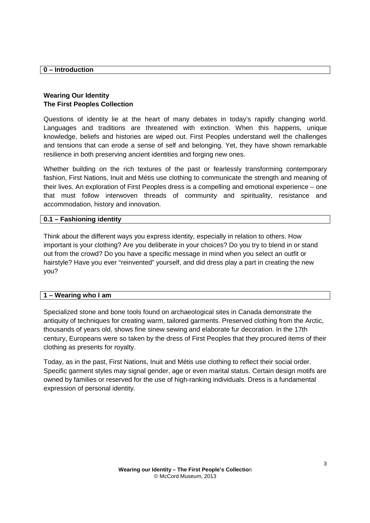**0 – Introduction**

## **Wearing Our Identity The First Peoples Collection**

Questions of identity lie at the heart of many debates in today's rapidly changing world. Languages and traditions are threatened with extinction. When this happens, unique knowledge, beliefs and histories are wiped out. First Peoples understand well the challenges and tensions that can erode a sense of self and belonging. Yet, they have shown remarkable resilience in both preserving ancient identities and forging new ones.

Whether building on the rich textures of the past or fearlessly transforming contemporary fashion, First Nations, Inuit and Métis use clothing to communicate the strength and meaning of their lives. An exploration of First Peoples dress is a compelling and emotional experience – one that must follow interwoven threads of community and spirituality, resistance and accommodation, history and innovation.

### **0.1 – Fashioning identity**

Think about the different ways you express identity, especially in relation to others. How important is your clothing? Are you deliberate in your choices? Do you try to blend in or stand out from the crowd? Do you have a specific message in mind when you select an outfit or hairstyle? Have you ever "reinvented" yourself, and did dress play a part in creating the new you?

### **1 – Wearing who I am**

Specialized stone and bone tools found on archaeological sites in Canada demonstrate the antiquity of techniques for creating warm, tailored garments. Preserved clothing from the Arctic, thousands of years old, shows fine sinew sewing and elaborate fur decoration. In the 17th century, Europeans were so taken by the dress of First Peoples that they procured items of their clothing as presents for royalty.

Today, as in the past, First Nations, Inuit and Métis use clothing to reflect their social order. Specific garment styles may signal gender, age or even marital status. Certain design motifs are owned by families or reserved for the use of high-ranking individuals. Dress is a fundamental expression of personal identity.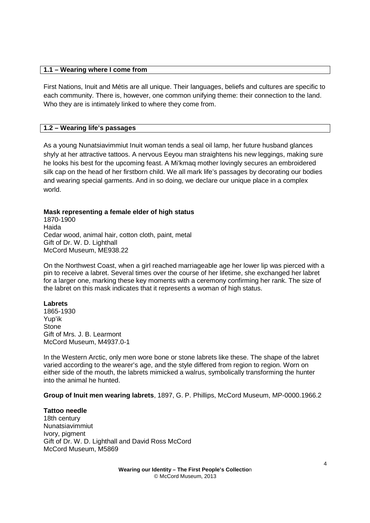### **1.1 – Wearing where I come from**

First Nations, Inuit and Métis are all unique. Their languages, beliefs and cultures are specific to each community. There is, however, one common unifying theme: their connection to the land. Who they are is intimately linked to where they come from.

### **1.2 – Wearing life's passages**

As a young Nunatsiavimmiut Inuit woman tends a seal oil lamp, her future husband glances shyly at her attractive tattoos. A nervous Eeyou man straightens his new leggings, making sure he looks his best for the upcoming feast. A Mi'kmaq mother lovingly secures an embroidered silk cap on the head of her firstborn child. We all mark life's passages by decorating our bodies and wearing special garments. And in so doing, we declare our unique place in a complex world.

### **Mask representing a female elder of high status**

1870-1900 Haida Cedar wood, animal hair, cotton cloth, paint, metal Gift of Dr. W. D. Lighthall McCord Museum, ME938.22

On the Northwest Coast, when a girl reached marriageable age her lower lip was pierced with a pin to receive a labret. Several times over the course of her lifetime, she exchanged her labret for a larger one, marking these key moments with a ceremony confirming her rank. The size of the labret on this mask indicates that it represents a woman of high status.

### **Labrets**

1865-1930 Yup'ik **Stone** Gift of Mrs. J. B. Learmont McCord Museum, M4937.0-1

In the Western Arctic, only men wore bone or stone labrets like these. The shape of the labret varied according to the wearer's age, and the style differed from region to region. Worn on either side of the mouth, the labrets mimicked a walrus, symbolically transforming the hunter into the animal he hunted.

**Group of Inuit men wearing labrets**, 1897, G. P. Phillips, McCord Museum, MP-0000.1966.2

**Tattoo needle**  18th century Nunatsiavimmiut Ivory, pigment Gift of Dr. W. D. Lighthall and David Ross McCord McCord Museum, M5869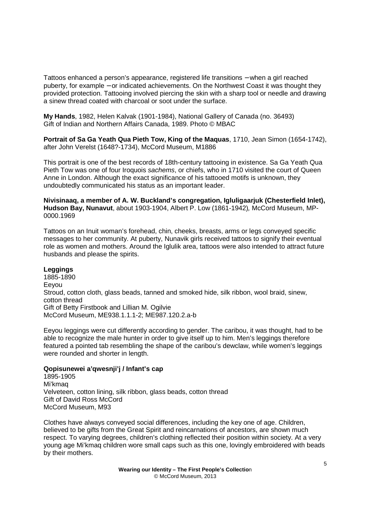Tattoos enhanced a person's appearance, registered life transitions – when a girl reached puberty, for example − or indicated achievements. On the Northwest Coast it was thought they provided protection. Tattooing involved piercing the skin with a sharp tool or needle and drawing a sinew thread coated with charcoal or soot under the surface.

**My Hands**, 1982, Helen Kalvak (1901-1984), National Gallery of Canada (no. 36493) Gift of Indian and Northern Affairs Canada, 1989. Photo © MBAC

**Portrait of Sa Ga Yeath Qua Pieth Tow, King of the Maquas**, 1710, Jean Simon (1654-1742), after John Verelst (1648?-1734), McCord Museum, M1886

This portrait is one of the best records of 18th-century tattooing in existence. Sa Ga Yeath Qua Pieth Tow was one of four Iroquois sachems, or chiefs, who in 1710 visited the court of Queen Anne in London. Although the exact significance of his tattooed motifs is unknown, they undoubtedly communicated his status as an important leader.

**Nivisinaaq, a member of A. W. Buckland's congregation, Igluligaarjuk (Chesterfield Inlet), Hudson Bay, Nunavut**, about 1903-1904, Albert P. Low (1861-1942), McCord Museum, MP-0000.1969

Tattoos on an Inuit woman's forehead, chin, cheeks, breasts, arms or legs conveyed specific messages to her community. At puberty, Nunavik girls received tattoos to signify their eventual role as women and mothers. Around the Iglulik area, tattoos were also intended to attract future husbands and please the spirits.

### **Leggings**

1885-1890 Eeyou Stroud, cotton cloth, glass beads, tanned and smoked hide, silk ribbon, wool braid, sinew, cotton thread Gift of Betty Firstbook and Lillian M. Ogilvie McCord Museum, ME938.1.1.1-2; ME987.120.2.a-b

Eeyou leggings were cut differently according to gender. The caribou, it was thought, had to be able to recognize the male hunter in order to give itself up to him. Men's leggings therefore featured a pointed tab resembling the shape of the caribou's dewclaw, while women's leggings were rounded and shorter in length.

#### **Qopisunewei a'qwesnji'j / Infant's cap**

1895-1905 Mi'kmaq Velveteen, cotton lining, silk ribbon, glass beads, cotton thread Gift of David Ross McCord McCord Museum, M93

Clothes have always conveyed social differences, including the key one of age. Children, believed to be gifts from the Great Spirit and reincarnations of ancestors, are shown much respect. To varying degrees, children's clothing reflected their position within society. At a very young age Mi'kmaq children wore small caps such as this one, lovingly embroidered with beads by their mothers.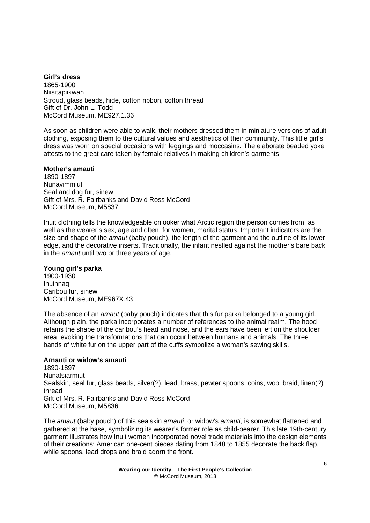**Girl's dress**  1865-1900 Niisitapiikwan Stroud, glass beads, hide, cotton ribbon, cotton thread Gift of Dr. John L. Todd McCord Museum, ME927.1.36

As soon as children were able to walk, their mothers dressed them in miniature versions of adult clothing, exposing them to the cultural values and aesthetics of their community. This little girl's dress was worn on special occasions with leggings and moccasins. The elaborate beaded yoke attests to the great care taken by female relatives in making children's garments.

### **Mother's amauti**

1890-1897 Nunavimmiut Seal and dog fur, sinew Gift of Mrs. R. Fairbanks and David Ross McCord McCord Museum, M5837

Inuit clothing tells the knowledgeable onlooker what Arctic region the person comes from, as well as the wearer's sex, age and often, for women, marital status. Important indicators are the size and shape of the *amaut* (baby pouch), the length of the garment and the outline of its lower edge, and the decorative inserts. Traditionally, the infant nestled against the mother's bare back in the amaut until two or three years of age.

### **Young girl's parka**

1900-1930 Inuinnaq Caribou fur, sinew McCord Museum, ME967X.43

The absence of an *amaut* (baby pouch) indicates that this fur parka belonged to a young girl. Although plain, the parka incorporates a number of references to the animal realm. The hood retains the shape of the caribou's head and nose, and the ears have been left on the shoulder area, evoking the transformations that can occur between humans and animals. The three bands of white fur on the upper part of the cuffs symbolize a woman's sewing skills.

# **Arnauti or widow's amauti**

1890-1897 Nunatsiarmiut Sealskin, seal fur, glass beads, silver(?), lead, brass, pewter spoons, coins, wool braid, linen(?) thread Gift of Mrs. R. Fairbanks and David Ross McCord McCord Museum, M5836

The amaut (baby pouch) of this sealskin arnauti, or widow's amauti, is somewhat flattened and gathered at the base, symbolizing its wearer's former role as child-bearer. This late 19th-century garment illustrates how Inuit women incorporated novel trade materials into the design elements of their creations: American one-cent pieces dating from 1848 to 1855 decorate the back flap, while spoons, lead drops and braid adorn the front.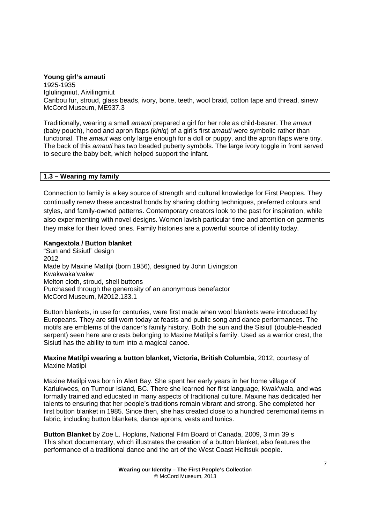#### **Young girl's amauti**

1925-1935 Iglulingmiut, Aivilingmiut Caribou fur, stroud, glass beads, ivory, bone, teeth, wool braid, cotton tape and thread, sinew McCord Museum, ME937.3

Traditionally, wearing a small *amauti* prepared a girl for her role as child-bearer. The *amaut* (baby pouch), hood and apron flaps (kiniq) of a girl's first amauti were symbolic rather than functional. The amaut was only large enough for a doll or puppy, and the apron flaps were tiny. The back of this amauti has two beaded puberty symbols. The large ivory toggle in front served to secure the baby belt, which helped support the infant.

### **1.3 – Wearing my family**

Connection to family is a key source of strength and cultural knowledge for First Peoples. They continually renew these ancestral bonds by sharing clothing techniques, preferred colours and styles, and family-owned patterns. Contemporary creators look to the past for inspiration, while also experimenting with novel designs. Women lavish particular time and attention on garments they make for their loved ones. Family histories are a powerful source of identity today.

### **Kangextola / Button blanket**

"Sun and Sisiutl" design 2012 Made by Maxine Matilpi (born 1956), designed by John Livingston Kwakwaka'wakw Melton cloth, stroud, shell buttons Purchased through the generosity of an anonymous benefactor McCord Museum, M2012.133.1

Button blankets, in use for centuries, were first made when wool blankets were introduced by Europeans. They are still worn today at feasts and public song and dance performances. The motifs are emblems of the dancer's family history. Both the sun and the Sisiutl (double-headed serpent) seen here are crests belonging to Maxine Matilpi's family. Used as a warrior crest, the Sisiutl has the ability to turn into a magical canoe.

### **Maxine Matilpi wearing a button blanket, Victoria, British Columbia**, 2012, courtesy of Maxine Matilpi

Maxine Matilpi was born in Alert Bay. She spent her early years in her home village of Karlukwees, on Turnour Island, BC. There she learned her first language, Kwak'wala, and was formally trained and educated in many aspects of traditional culture. Maxine has dedicated her talents to ensuring that her people's traditions remain vibrant and strong. She completed her first button blanket in 1985. Since then, she has created close to a hundred ceremonial items in fabric, including button blankets, dance aprons, vests and tunics.

**Button Blanket** by Zoe L. Hopkins, National Film Board of Canada, 2009, 3 min 39 s This short documentary, which illustrates the creation of a button blanket, also features the performance of a traditional dance and the art of the West Coast Heiltsuk people.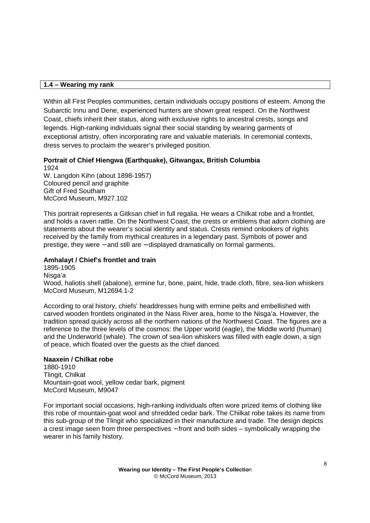# **1.4 – Wearing my rank**

Within all First Peoples communities, certain individuals occupy positions of esteem. Among the Subarctic Innu and Dene, experienced hunters are shown great respect. On the Northwest Coast, chiefs inherit their status, along with exclusive rights to ancestral crests, songs and legends. High-ranking individuals signal their social standing by wearing garments of exceptional artistry, often incorporating rare and valuable materials. In ceremonial contexts, dress serves to proclaim the wearer's privileged position.

**Portrait of Chief Hiengwa (Earthquake), Gitwangax, British Columbia**  1924 W. Langdon Kihn (about 1898-1957) Coloured pencil and graphite

Gift of Fred Southam McCord Museum, M927.102

This portrait represents a Gitksan chief in full regalia. He wears a Chilkat robe and a frontlet, and holds a raven rattle. On the Northwest Coast, the crests or emblems that adorn clothing are statements about the wearer's social identity and status. Crests remind onlookers of rights received by the family from mythical creatures in a legendary past. Symbols of power and prestige, they were − and still are − displayed dramatically on formal garments.

# **Amhalayt / Chief's frontlet and train**

1895-1905 Nisga'a Wood, haliotis shell (abalone), ermine fur, bone, paint, hide, trade cloth, fibre, sea-lion whiskers McCord Museum, M12694.1-2

According to oral history, chiefs' headdresses hung with ermine pelts and embellished with carved wooden frontlets originated in the Nass River area, home to the Nisga'a. However, the tradition spread quickly across all the northern nations of the Northwest Coast. The figures are a reference to the three levels of the cosmos: the Upper world (eagle), the Middle world (human) and the Underworld (whale). The crown of sea-lion whiskers was filled with eagle down, a sign of peace, which floated over the guests as the chief danced.

### **Naaxein / Chilkat robe**

1880-1910 Tlingit, Chilkat Mountain-goat wool, yellow cedar bark, pigment McCord Museum, M9047

For important social occasions, high-ranking individuals often wore prized items of clothing like this robe of mountain-goat wool and shredded cedar bark. The Chilkat robe takes its name from this sub-group of the Tlingit who specialized in their manufacture and trade. The design depicts a crest image seen from three perspectives − front and both sides – symbolically wrapping the wearer in his family history.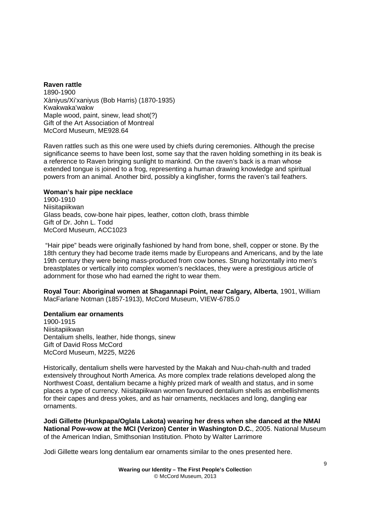**Raven rattle**  1890-1900 Xàniyus/Xi'xaniyus (Bob Harris) (1870-1935) Kwakwaka'wakw Maple wood, paint, sinew, lead shot(?) Gift of the Art Association of Montreal McCord Museum, ME928.64

Raven rattles such as this one were used by chiefs during ceremonies. Although the precise significance seems to have been lost, some say that the raven holding something in its beak is a reference to Raven bringing sunlight to mankind. On the raven's back is a man whose extended tongue is joined to a frog, representing a human drawing knowledge and spiritual powers from an animal. Another bird, possibly a kingfisher, forms the raven's tail feathers.

#### **Woman's hair pipe necklace**

1900-1910 Niisitapiikwan Glass beads, cow-bone hair pipes, leather, cotton cloth, brass thimble Gift of Dr. John L. Todd McCord Museum, ACC1023

 "Hair pipe" beads were originally fashioned by hand from bone, shell, copper or stone. By the 18th century they had become trade items made by Europeans and Americans, and by the late 19th century they were being mass-produced from cow bones. Strung horizontally into men's breastplates or vertically into complex women's necklaces, they were a prestigious article of adornment for those who had earned the right to wear them.

**Royal Tour: Aboriginal women at Shagannapi Point, near Calgary, Alberta**, 1901, William MacFarlane Notman (1857-1913), McCord Museum, VIEW-6785.0

### **Dentalium ear ornaments**

1900-1915 Niisitapiikwan Dentalium shells, leather, hide thongs, sinew Gift of David Ross McCord McCord Museum, M225, M226

Historically, dentalium shells were harvested by the Makah and Nuu-chah-nulth and traded extensively throughout North America. As more complex trade relations developed along the Northwest Coast, dentalium became a highly prized mark of wealth and status, and in some places a type of currency. Niisitapiikwan women favoured dentalium shells as embellishments for their capes and dress yokes, and as hair ornaments, necklaces and long, dangling ear ornaments.

**Jodi Gillette (Hunkpapa/Oglala Lakota) wearing her dress when she danced at the NMAI National Pow-wow at the MCI (Verizon) Center in Washington D.C.**, 2005. National Museum of the American Indian, Smithsonian Institution. Photo by Walter Larrimore

Jodi Gillette wears long dentalium ear ornaments similar to the ones presented here.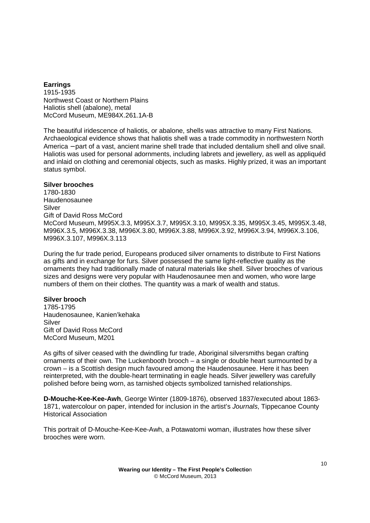### **Earrings**

1915-1935 Northwest Coast or Northern Plains Haliotis shell (abalone), metal McCord Museum, ME984X.261.1A-B

The beautiful iridescence of haliotis, or abalone, shells was attractive to many First Nations. Archaeological evidence shows that haliotis shell was a trade commodity in northwestern North America − part of a vast, ancient marine shell trade that included dentalium shell and olive snail. Haliotis was used for personal adornments, including labrets and jewellery, as well as appliquéd and inlaid on clothing and ceremonial objects, such as masks. Highly prized, it was an important status symbol.

### **Silver brooches**

1780-1830 Haudenosaunee Silver Gift of David Ross McCord McCord Museum, M995X.3.3, M995X.3.7, M995X.3.10, M995X.3.35, M995X.3.45, M995X.3.48, M996X.3.5, M996X.3.38, M996X.3.80, M996X.3.88, M996X.3.92, M996X.3.94, M996X.3.106, M996X.3.107, M996X.3.113

During the fur trade period, Europeans produced silver ornaments to distribute to First Nations as gifts and in exchange for furs. Silver possessed the same light-reflective quality as the ornaments they had traditionally made of natural materials like shell. Silver brooches of various sizes and designs were very popular with Haudenosaunee men and women, who wore large numbers of them on their clothes. The quantity was a mark of wealth and status.

### **Silver brooch**

1785-1795 Haudenosaunee, Kanien'kehaka Silver Gift of David Ross McCord McCord Museum, M201

As gifts of silver ceased with the dwindling fur trade, Aboriginal silversmiths began crafting ornaments of their own. The Luckenbooth brooch – a single or double heart surmounted by a crown – is a Scottish design much favoured among the Haudenosaunee. Here it has been reinterpreted, with the double-heart terminating in eagle heads. Silver jewellery was carefully polished before being worn, as tarnished objects symbolized tarnished relationships.

**D-Mouche-Kee-Kee-Awh**, George Winter (1809-1876), observed 1837/executed about 1863- 1871, watercolour on paper, intended for inclusion in the artist's Journals, Tippecanoe County Historical Association

This portrait of D-Mouche-Kee-Kee-Awh, a Potawatomi woman, illustrates how these silver brooches were worn.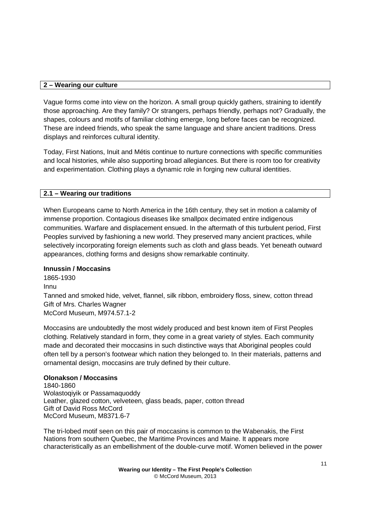## **2 – Wearing our culture**

Vague forms come into view on the horizon. A small group quickly gathers, straining to identify those approaching. Are they family? Or strangers, perhaps friendly, perhaps not? Gradually, the shapes, colours and motifs of familiar clothing emerge, long before faces can be recognized. These are indeed friends, who speak the same language and share ancient traditions. Dress displays and reinforces cultural identity.

Today, First Nations, Inuit and Métis continue to nurture connections with specific communities and local histories, while also supporting broad allegiances. But there is room too for creativity and experimentation. Clothing plays a dynamic role in forging new cultural identities.

# **2.1 – Wearing our traditions**

When Europeans came to North America in the 16th century, they set in motion a calamity of immense proportion. Contagious diseases like smallpox decimated entire indigenous communities. Warfare and displacement ensued. In the aftermath of this turbulent period, First Peoples survived by fashioning a new world. They preserved many ancient practices, while selectively incorporating foreign elements such as cloth and glass beads. Yet beneath outward appearances, clothing forms and designs show remarkable continuity.

### **Innussin / Moccasins**

1865-1930 Innu Tanned and smoked hide, velvet, flannel, silk ribbon, embroidery floss, sinew, cotton thread Gift of Mrs. Charles Wagner McCord Museum, M974.57.1-2

Moccasins are undoubtedly the most widely produced and best known item of First Peoples clothing. Relatively standard in form, they come in a great variety of styles. Each community made and decorated their moccasins in such distinctive ways that Aboriginal peoples could often tell by a person's footwear which nation they belonged to. In their materials, patterns and ornamental design, moccasins are truly defined by their culture.

### **Olonakson / Moccasins**

1840-1860 Wolastoqiyik or Passamaquoddy Leather, glazed cotton, velveteen, glass beads, paper, cotton thread Gift of David Ross McCord McCord Museum, M8371.6-7

The tri-lobed motif seen on this pair of moccasins is common to the Wabenakis, the First Nations from southern Quebec, the Maritime Provinces and Maine. It appears more characteristically as an embellishment of the double-curve motif. Women believed in the power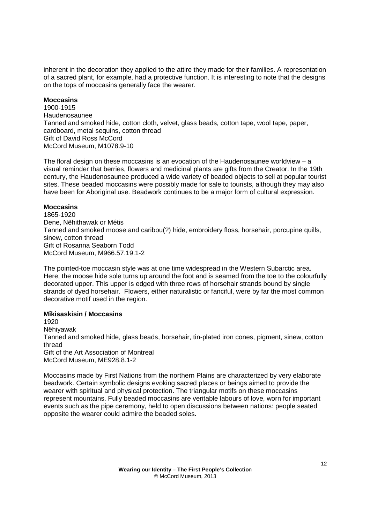inherent in the decoration they applied to the attire they made for their families. A representation of a sacred plant, for example, had a protective function. It is interesting to note that the designs on the tops of moccasins generally face the wearer.

### **Moccasins**

1900-1915 Haudenosaunee Tanned and smoked hide, cotton cloth, velvet, glass beads, cotton tape, wool tape, paper, cardboard, metal sequins, cotton thread Gift of David Ross McCord McCord Museum, M1078.9-10

The floral design on these moccasins is an evocation of the Haudenosaunee worldview – a visual reminder that berries, flowers and medicinal plants are gifts from the Creator. In the 19th century, the Haudenosaunee produced a wide variety of beaded objects to sell at popular tourist sites. These beaded moccasins were possibly made for sale to tourists, although they may also have been for Aboriginal use. Beadwork continues to be a major form of cultural expression.

### **Moccasins**

1865-1920 Dene, Nêhithawak or Métis Tanned and smoked moose and caribou(?) hide, embroidery floss, horsehair, porcupine quills, sinew, cotton thread Gift of Rosanna Seaborn Todd McCord Museum, M966.57.19.1-2

The pointed-toe moccasin style was at one time widespread in the Western Subarctic area. Here, the moose hide sole turns up around the foot and is seamed from the toe to the colourfully decorated upper. This upper is edged with three rows of horsehair strands bound by single strands of dyed horsehair. Flowers, either naturalistic or fanciful, were by far the most common decorative motif used in the region.

# **Mîkisaskisin / Moccasins**

1920 Nêhiyawak Tanned and smoked hide, glass beads, horsehair, tin-plated iron cones, pigment, sinew, cotton thread Gift of the Art Association of Montreal McCord Museum, ME928.8.1-2

Moccasins made by First Nations from the northern Plains are characterized by very elaborate beadwork. Certain symbolic designs evoking sacred places or beings aimed to provide the wearer with spiritual and physical protection. The triangular motifs on these moccasins represent mountains. Fully beaded moccasins are veritable labours of love, worn for important events such as the pipe ceremony, held to open discussions between nations: people seated opposite the wearer could admire the beaded soles.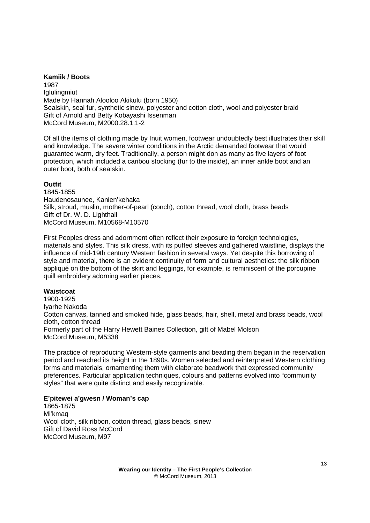### **Kamiik / Boots**

1987 **Iglulingmiut** Made by Hannah Alooloo Akikulu (born 1950) Sealskin, seal fur, synthetic sinew, polyester and cotton cloth, wool and polyester braid Gift of Arnold and Betty Kobayashi Issenman McCord Museum, M2000.28.1.1-2

Of all the items of clothing made by Inuit women, footwear undoubtedly best illustrates their skill and knowledge. The severe winter conditions in the Arctic demanded footwear that would guarantee warm, dry feet. Traditionally, a person might don as many as five layers of foot protection, which included a caribou stocking (fur to the inside), an inner ankle boot and an outer boot, both of sealskin.

### **Outfit**

1845-1855 Haudenosaunee, Kanien'kehaka Silk, stroud, muslin, mother-of-pearl (conch), cotton thread, wool cloth, brass beads Gift of Dr. W. D. Lighthall McCord Museum, M10568-M10570

First Peoples dress and adornment often reflect their exposure to foreign technologies, materials and styles. This silk dress, with its puffed sleeves and gathered waistline, displays the influence of mid-19th century Western fashion in several ways. Yet despite this borrowing of style and material, there is an evident continuity of form and cultural aesthetics: the silk ribbon appliqué on the bottom of the skirt and leggings, for example, is reminiscent of the porcupine quill embroidery adorning earlier pieces.

#### **Waistcoat**

1900-1925 Iyarhe Nakoda Cotton canvas, tanned and smoked hide, glass beads, hair, shell, metal and brass beads, wool cloth, cotton thread Formerly part of the Harry Hewett Baines Collection, gift of Mabel Molson McCord Museum, M5338

The practice of reproducing Western-style garments and beading them began in the reservation period and reached its height in the 1890s. Women selected and reinterpreted Western clothing forms and materials, ornamenting them with elaborate beadwork that expressed community preferences. Particular application techniques, colours and patterns evolved into "community styles" that were quite distinct and easily recognizable.

### **E'pitewei a'gwesn / Woman's cap**

1865-1875 Mi'kmaq Wool cloth, silk ribbon, cotton thread, glass beads, sinew Gift of David Ross McCord McCord Museum, M97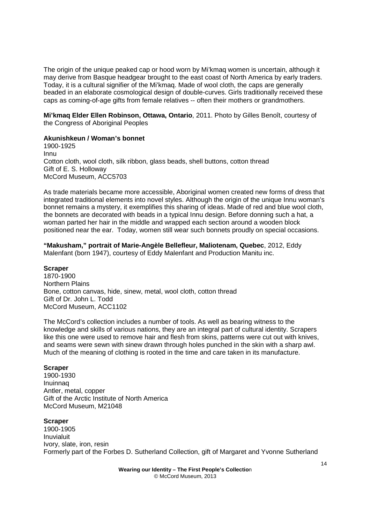The origin of the unique peaked cap or hood worn by Mi'kmaq women is uncertain, although it may derive from Basque headgear brought to the east coast of North America by early traders. Today, it is a cultural signifier of the Mi'kmaq. Made of wool cloth, the caps are generally beaded in an elaborate cosmological design of double-curves. Girls traditionally received these caps as coming-of-age gifts from female relatives -- often their mothers or grandmothers.

**Mi'kmaq Elder Ellen Robinson, Ottawa, Ontario**, 2011. Photo by Gilles Benoît, courtesy of the Congress of Aboriginal Peoples

### **Akunishkeun / Woman's bonnet**

1900-1925 Innu Cotton cloth, wool cloth, silk ribbon, glass beads, shell buttons, cotton thread Gift of E. S. Holloway McCord Museum, ACC5703

As trade materials became more accessible, Aboriginal women created new forms of dress that integrated traditional elements into novel styles. Although the origin of the unique Innu woman's bonnet remains a mystery, it exemplifies this sharing of ideas. Made of red and blue wool cloth, the bonnets are decorated with beads in a typical Innu design. Before donning such a hat, a woman parted her hair in the middle and wrapped each section around a wooden block positioned near the ear. Today, women still wear such bonnets proudly on special occasions.

**"Makusham," portrait of Marie-Angèle Bellefleur, Maliotenam, Quebec**, 2012, Eddy Malenfant (born 1947), courtesy of Eddy Malenfant and Production Manitu inc.

#### **Scraper**

1870-1900 Northern Plains Bone, cotton canvas, hide, sinew, metal, wool cloth, cotton thread Gift of Dr. John L. Todd McCord Museum, ACC1102

The McCord's collection includes a number of tools. As well as bearing witness to the knowledge and skills of various nations, they are an integral part of cultural identity. Scrapers like this one were used to remove hair and flesh from skins, patterns were cut out with knives, and seams were sewn with sinew drawn through holes punched in the skin with a sharp awl. Much of the meaning of clothing is rooted in the time and care taken in its manufacture.

#### **Scraper**

1900-1930 Inuinnaq Antler, metal, copper Gift of the Arctic Institute of North America McCord Museum, M21048

#### **Scraper**

1900-1905 Inuvialuit Ivory, slate, iron, resin Formerly part of the Forbes D. Sutherland Collection, gift of Margaret and Yvonne Sutherland

> **Wearing our Identity – The First People's Collectio**n © McCord Museum, 2013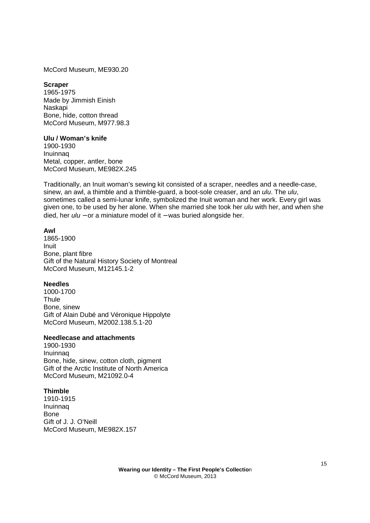McCord Museum, ME930.20

#### **Scraper**

1965-1975 Made by Jimmish Einish Naskapi Bone, hide, cotton thread McCord Museum, M977.98.3

#### **Ulu / Woman's knife**

1900-1930 Inuinnaq Metal, copper, antler, bone McCord Museum, ME982X.245

Traditionally, an Inuit woman's sewing kit consisted of a scraper, needles and a needle-case, sinew, an awl, a thimble and a thimble-guard, a boot-sole creaser, and an ulu. The ulu, sometimes called a semi-lunar knife, symbolized the Inuit woman and her work. Every girl was given one, to be used by her alone. When she married she took her *ulu* with her, and when she died, her *ulu* − or a miniature model of it − was buried alongside her.

#### **Awl**

1865-1900 Inuit Bone, plant fibre Gift of the Natural History Society of Montreal McCord Museum, M12145.1-2

### **Needles**

1000-1700 Thule Bone, sinew Gift of Alain Dubé and Véronique Hippolyte McCord Museum, M2002.138.5.1-20

#### **Needlecase and attachments**

1900-1930 Inuinnaq Bone, hide, sinew, cotton cloth, pigment Gift of the Arctic Institute of North America McCord Museum, M21092.0-4

### **Thimble**

1910-1915 Inuinnaq Bone Gift of J. J. O'Neill McCord Museum, ME982X.157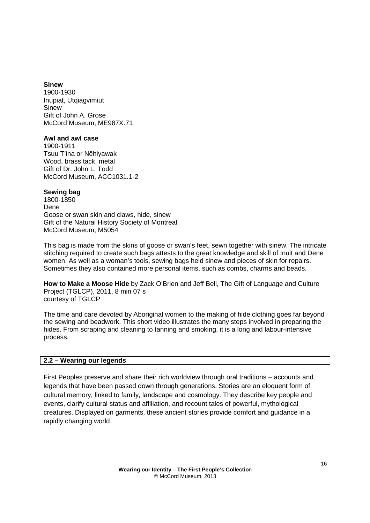### **Sinew**

1900-1930 Inupiat, Utqiagvimiut Sinew Gift of John A. Grose McCord Museum, ME987X.71

### **Awl and awl case**

1900-1911 Tsuu T'ina or Nêhiyawak Wood, brass tack, metal Gift of Dr. John L. Todd McCord Museum, ACC1031.1-2

# **Sewing bag**

1800-1850 Dene Goose or swan skin and claws, hide, sinew Gift of the Natural History Society of Montreal McCord Museum, M5054

This bag is made from the skins of goose or swan's feet, sewn together with sinew. The intricate stitching required to create such bags attests to the great knowledge and skill of Inuit and Dene women. As well as a woman's tools, sewing bags held sinew and pieces of skin for repairs. Sometimes they also contained more personal items, such as combs, charms and beads.

**How to Make a Moose Hide** by Zack O'Brien and Jeff Bell, The Gift of Language and Culture Project (TGLCP), 2011, 8 min 07 s courtesy of TGLCP

The time and care devoted by Aboriginal women to the making of hide clothing goes far beyond the sewing and beadwork. This short video illustrates the many steps involved in preparing the hides. From scraping and cleaning to tanning and smoking, it is a long and labour-intensive process.

# **2.2 – Wearing our legends**

First Peoples preserve and share their rich worldview through oral traditions – accounts and legends that have been passed down through generations. Stories are an eloquent form of cultural memory, linked to family, landscape and cosmology. They describe key people and events, clarify cultural status and affiliation, and recount tales of powerful, mythological creatures. Displayed on garments, these ancient stories provide comfort and guidance in a rapidly changing world.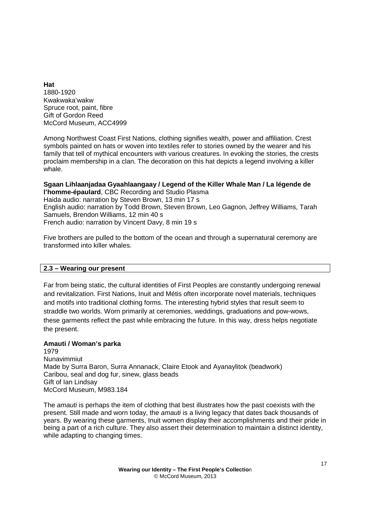**Hat**  1880-1920 Kwakwaka'wakw Spruce root, paint, fibre Gift of Gordon Reed McCord Museum, ACC4999

Among Northwest Coast First Nations, clothing signifies wealth, power and affiliation. Crest symbols painted on hats or woven into textiles refer to stories owned by the wearer and his family that tell of mythical encounters with various creatures. In evoking the stories, the crests proclaim membership in a clan. The decoration on this hat depicts a legend involving a killer whale.

**Sgaan Lihlaanjadaa Gyaahlaangaay / Legend of the Killer Whale Man / La légende de l'homme-épaulard**, CBC Recording and Studio Plasma Haida audio: narration by Steven Brown, 13 min 17 s English audio: narration by Todd Brown, Steven Brown, Leo Gagnon, Jeffrey Williams, Tarah Samuels, Brendon Williams, 12 min 40 s French audio: narration by Vincent Davy, 8 min 19 s

Five brothers are pulled to the bottom of the ocean and through a supernatural ceremony are transformed into killer whales.

### **2.3 – Wearing our present**

Far from being static, the cultural identities of First Peoples are constantly undergoing renewal and revitalization. First Nations, Inuit and Métis often incorporate novel materials, techniques and motifs into traditional clothing forms. The interesting hybrid styles that result seem to straddle two worlds. Worn primarily at ceremonies, weddings, graduations and pow-wows, these garments reflect the past while embracing the future. In this way, dress helps negotiate the present.

# **Amauti / Woman's parka**

1979 Nunavimmiut Made by Surra Baron, Surra Annanack, Claire Etook and Ayanaylitok (beadwork) Caribou, seal and dog fur, sinew, glass beads Gift of Ian Lindsay McCord Museum, M983.184

The *amauti* is perhaps the item of clothing that best illustrates how the past coexists with the present. Still made and worn today, the *amauti* is a living legacy that dates back thousands of years. By wearing these garments, Inuit women display their accomplishments and their pride in being a part of a rich culture. They also assert their determination to maintain a distinct identity, while adapting to changing times.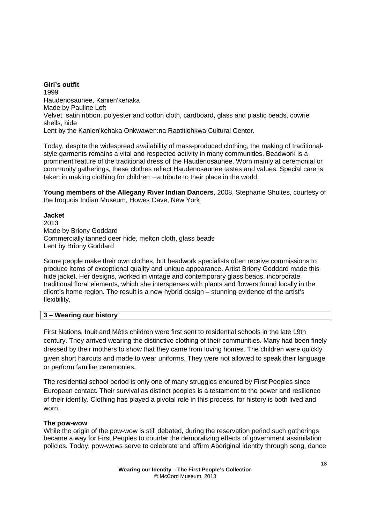**Girl's outfit**  1999 Haudenosaunee, Kanien'kehaka Made by Pauline Loft Velvet, satin ribbon, polyester and cotton cloth, cardboard, glass and plastic beads, cowrie shells, hide Lent by the Kanien'kehaka Onkwawen:na Raotitiohkwa Cultural Center.

Today, despite the widespread availability of mass-produced clothing, the making of traditionalstyle garments remains a vital and respected activity in many communities. Beadwork is a prominent feature of the traditional dress of the Haudenosaunee. Worn mainly at ceremonial or community gatherings, these clothes reflect Haudenosaunee tastes and values. Special care is taken in making clothing for children – a tribute to their place in the world.

**Young members of the Allegany River Indian Dancers**, 2008, Stephanie Shultes, courtesy of the Iroquois Indian Museum, Howes Cave, New York

**Jacket**  2013 Made by Briony Goddard Commercially tanned deer hide, melton cloth, glass beads Lent by Briony Goddard

Some people make their own clothes, but beadwork specialists often receive commissions to produce items of exceptional quality and unique appearance. Artist Briony Goddard made this hide jacket. Her designs, worked in vintage and contemporary glass beads, incorporate traditional floral elements, which she intersperses with plants and flowers found locally in the client's home region. The result is a new hybrid design – stunning evidence of the artist's flexibility.

### **3 – Wearing our history**

First Nations, Inuit and Métis children were first sent to residential schools in the late 19th century. They arrived wearing the distinctive clothing of their communities. Many had been finely dressed by their mothers to show that they came from loving homes. The children were quickly given short haircuts and made to wear uniforms. They were not allowed to speak their language or perform familiar ceremonies.

The residential school period is only one of many struggles endured by First Peoples since European contact. Their survival as distinct peoples is a testament to the power and resilience of their identity. Clothing has played a pivotal role in this process, for history is both lived and worn.

### **The pow-wow**

While the origin of the pow-wow is still debated, during the reservation period such gatherings became a way for First Peoples to counter the demoralizing effects of government assimilation policies. Today, pow-wows serve to celebrate and affirm Aboriginal identity through song, dance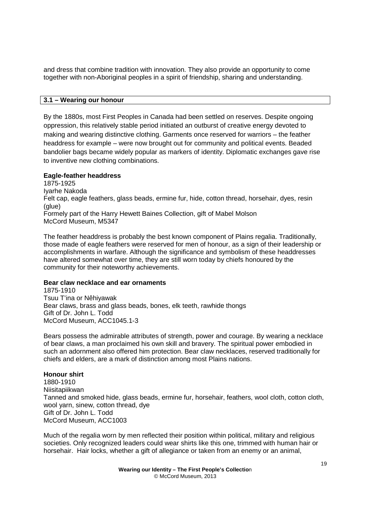and dress that combine tradition with innovation. They also provide an opportunity to come together with non-Aboriginal peoples in a spirit of friendship, sharing and understanding.

### **3.1 – Wearing our honour**

By the 1880s, most First Peoples in Canada had been settled on reserves. Despite ongoing oppression, this relatively stable period initiated an outburst of creative energy devoted to making and wearing distinctive clothing. Garments once reserved for warriors – the feather headdress for example – were now brought out for community and political events. Beaded bandolier bags became widely popular as markers of identity. Diplomatic exchanges gave rise to inventive new clothing combinations.

### **Eagle-feather headdress**

1875-1925 Iyarhe Nakoda Felt cap, eagle feathers, glass beads, ermine fur, hide, cotton thread, horsehair, dyes, resin (glue) Formely part of the Harry Hewett Baines Collection, gift of Mabel Molson McCord Museum, M5347

The feather headdress is probably the best known component of Plains regalia. Traditionally, those made of eagle feathers were reserved for men of honour, as a sign of their leadership or accomplishments in warfare. Although the significance and symbolism of these headdresses have altered somewhat over time, they are still worn today by chiefs honoured by the community for their noteworthy achievements.

### **Bear claw necklace and ear ornaments**

1875-1910 Tsuu T'ina or Nêhiyawak Bear claws, brass and glass beads, bones, elk teeth, rawhide thongs Gift of Dr. John L. Todd McCord Museum, ACC1045.1-3

Bears possess the admirable attributes of strength, power and courage. By wearing a necklace of bear claws, a man proclaimed his own skill and bravery. The spiritual power embodied in such an adornment also offered him protection. Bear claw necklaces, reserved traditionally for chiefs and elders, are a mark of distinction among most Plains nations.

### **Honour shirt**

1880-1910 Niisitapiikwan Tanned and smoked hide, glass beads, ermine fur, horsehair, feathers, wool cloth, cotton cloth, wool yarn, sinew, cotton thread, dye Gift of Dr. John L. Todd McCord Museum, ACC1003

Much of the regalia worn by men reflected their position within political, military and religious societies. Only recognized leaders could wear shirts like this one, trimmed with human hair or horsehair. Hair locks, whether a gift of allegiance or taken from an enemy or an animal,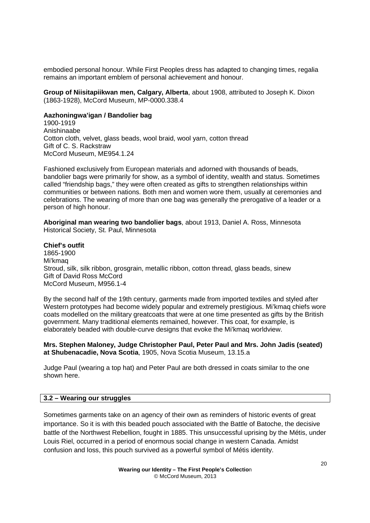embodied personal honour. While First Peoples dress has adapted to changing times, regalia remains an important emblem of personal achievement and honour.

**Group of Niisitapiikwan men, Calgary, Alberta**, about 1908, attributed to Joseph K. Dixon (1863-1928), McCord Museum, MP-0000.338.4

#### **Aazhoningwa'igan / Bandolier bag**

1900-1919 Anishinaabe Cotton cloth, velvet, glass beads, wool braid, wool yarn, cotton thread Gift of C. S. Rackstraw McCord Museum, ME954.1.24

Fashioned exclusively from European materials and adorned with thousands of beads, bandolier bags were primarily for show, as a symbol of identity, wealth and status. Sometimes called "friendship bags," they were often created as gifts to strengthen relationships within communities or between nations. Both men and women wore them, usually at ceremonies and celebrations. The wearing of more than one bag was generally the prerogative of a leader or a person of high honour.

**Aboriginal man wearing two bandolier bags**, about 1913, Daniel A. Ross, Minnesota Historical Society, St. Paul, Minnesota

#### **Chief's outfit**

1865-1900 Mi'kmaq Stroud, silk, silk ribbon, grosgrain, metallic ribbon, cotton thread, glass beads, sinew Gift of David Ross McCord McCord Museum, M956.1-4

By the second half of the 19th century, garments made from imported textiles and styled after Western prototypes had become widely popular and extremely prestigious. Mi'kmaq chiefs wore coats modelled on the military greatcoats that were at one time presented as gifts by the British government. Many traditional elements remained, however. This coat, for example, is elaborately beaded with double-curve designs that evoke the Mi'kmaq worldview.

**Mrs. Stephen Maloney, Judge Christopher Paul, Peter Paul and Mrs. John Jadis (seated) at Shubenacadie, Nova Scotia**, 1905, Nova Scotia Museum, 13.15.a

Judge Paul (wearing a top hat) and Peter Paul are both dressed in coats similar to the one shown here.

## **3.2 – Wearing our struggles**

Sometimes garments take on an agency of their own as reminders of historic events of great importance. So it is with this beaded pouch associated with the Battle of Batoche, the decisive battle of the Northwest Rebellion, fought in 1885. This unsuccessful uprising by the Métis, under Louis Riel, occurred in a period of enormous social change in western Canada. Amidst confusion and loss, this pouch survived as a powerful symbol of Métis identity.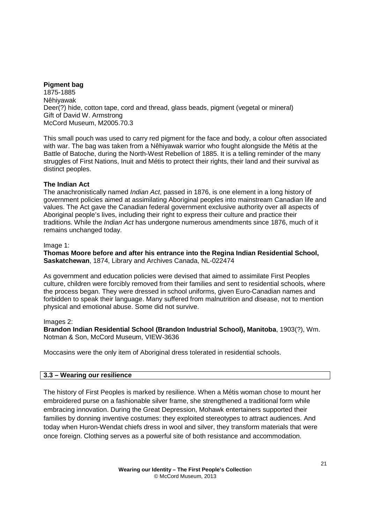## **Pigment bag**

1875-1885 Nêhiyawak Deer(?) hide, cotton tape, cord and thread, glass beads, pigment (vegetal or mineral) Gift of David W. Armstrong McCord Museum, M2005.70.3

This small pouch was used to carry red pigment for the face and body, a colour often associated with war. The bag was taken from a Nêhiyawak warrior who fought alongside the Métis at the Battle of Batoche, during the North-West Rebellion of 1885. It is a telling reminder of the many struggles of First Nations, Inuit and Métis to protect their rights, their land and their survival as distinct peoples.

### **The Indian Act**

The anachronistically named *Indian Act*, passed in 1876, is one element in a long history of government policies aimed at assimilating Aboriginal peoples into mainstream Canadian life and values. The Act gave the Canadian federal government exclusive authority over all aspects of Aboriginal people's lives, including their right to express their culture and practice their traditions. While the *Indian Act* has undergone numerous amendments since 1876, much of it remains unchanged today.

### Image 1:

**Thomas Moore before and after his entrance into the Regina Indian Residential School, Saskatchewan**, 1874, Library and Archives Canada, NL-022474

As government and education policies were devised that aimed to assimilate First Peoples culture, children were forcibly removed from their families and sent to residential schools, where the process began. They were dressed in school uniforms, given Euro-Canadian names and forbidden to speak their language. Many suffered from malnutrition and disease, not to mention physical and emotional abuse. Some did not survive.

### Images 2:

**Brandon Indian Residential School (Brandon Industrial School), Manitoba**, 1903(?), Wm. Notman & Son, McCord Museum, VIEW-3636

Moccasins were the only item of Aboriginal dress tolerated in residential schools.

# **3.3 – Wearing our resilience**

The history of First Peoples is marked by resilience. When a Métis woman chose to mount her embroidered purse on a fashionable silver frame, she strengthened a traditional form while embracing innovation. During the Great Depression, Mohawk entertainers supported their families by donning inventive costumes: they exploited stereotypes to attract audiences. And today when Huron-Wendat chiefs dress in wool and silver, they transform materials that were once foreign. Clothing serves as a powerful site of both resistance and accommodation.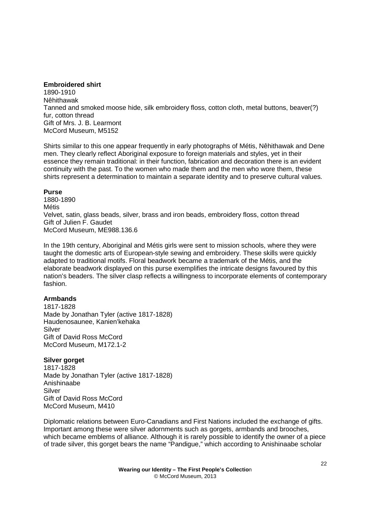### **Embroidered shirt**

1890-1910 Nêhithawak Tanned and smoked moose hide, silk embroidery floss, cotton cloth, metal buttons, beaver(?) fur, cotton thread Gift of Mrs. J. B. Learmont McCord Museum, M5152

Shirts similar to this one appear frequently in early photographs of Métis, Nêhithawak and Dene men. They clearly reflect Aboriginal exposure to foreign materials and styles, yet in their essence they remain traditional: in their function, fabrication and decoration there is an evident continuity with the past. To the women who made them and the men who wore them, these shirts represent a determination to maintain a separate identity and to preserve cultural values.

### **Purse**

1880-1890 Métis Velvet, satin, glass beads, silver, brass and iron beads, embroidery floss, cotton thread Gift of Julien F. Gaudet McCord Museum, ME988.136.6

In the 19th century, Aboriginal and Métis girls were sent to mission schools, where they were taught the domestic arts of European-style sewing and embroidery. These skills were quickly adapted to traditional motifs. Floral beadwork became a trademark of the Métis, and the elaborate beadwork displayed on this purse exemplifies the intricate designs favoured by this nation's beaders. The silver clasp reflects a willingness to incorporate elements of contemporary fashion.

# **Armbands**

1817-1828 Made by Jonathan Tyler (active 1817-1828) Haudenosaunee, Kanien'kehaka Silver Gift of David Ross McCord McCord Museum, M172.1-2

# **Silver gorget**

1817-1828 Made by Jonathan Tyler (active 1817-1828) Anishinaabe Silver Gift of David Ross McCord McCord Museum, M410

Diplomatic relations between Euro-Canadians and First Nations included the exchange of gifts. Important among these were silver adornments such as gorgets, armbands and brooches, which became emblems of alliance. Although it is rarely possible to identify the owner of a piece of trade silver, this gorget bears the name "Pandigue," which according to Anishinaabe scholar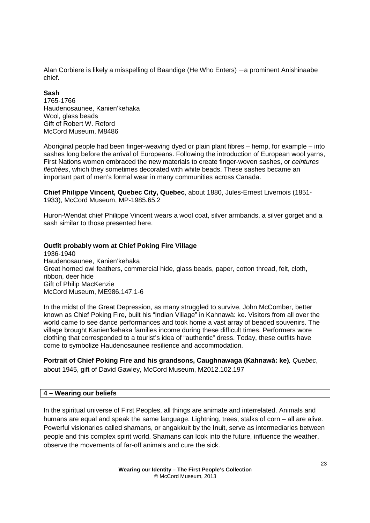Alan Corbiere is likely a misspelling of Baandige (He Who Enters) – a prominent Anishinaabe chief.

### **Sash**

1765-1766 Haudenosaunee, Kanien'kehaka Wool, glass beads Gift of Robert W. Reford McCord Museum, M8486

Aboriginal people had been finger-weaving dyed or plain plant fibres – hemp, for example – into sashes long before the arrival of Europeans. Following the introduction of European wool yarns, First Nations women embraced the new materials to create finger-woven sashes, or ceintures fléchées, which they sometimes decorated with white beads. These sashes became an important part of men's formal wear in many communities across Canada.

**Chief Philippe Vincent, Quebec City, Quebec**, about 1880, Jules-Ernest Livernois (1851- 1933), McCord Museum, MP-1985.65.2

Huron-Wendat chief Philippe Vincent wears a wool coat, silver armbands, a silver gorget and a sash similar to those presented here.

### **Outfit probably worn at Chief Poking Fire Village**

1936-1940 Haudenosaunee, Kanien'kehaka Great horned owl feathers, commercial hide, glass beads, paper, cotton thread, felt, cloth, ribbon, deer hide Gift of Philip MacKenzie McCord Museum, ME986.147.1-6

In the midst of the Great Depression, as many struggled to survive, John McComber, better known as Chief Poking Fire, built his "Indian Village" in Kahnawà: ke. Visitors from all over the world came to see dance performances and took home a vast array of beaded souvenirs. The village brought Kanien'kehaka families income during these difficult times. Performers wore clothing that corresponded to a tourist's idea of "authentic" dress. Today, these outfits have come to symbolize Haudenosaunee resilience and accommodation.

**Portrait of Chief Poking Fire and his grandsons, Caughnawaga (Kahnawà: ke)**, Quebec, about 1945, gift of David Gawley, McCord Museum, M2012.102.197

### **4 – Wearing our beliefs**

In the spiritual universe of First Peoples, all things are animate and interrelated. Animals and humans are equal and speak the same language. Lightning, trees, stalks of corn – all are alive. Powerful visionaries called shamans, or angakkuit by the Inuit, serve as intermediaries between people and this complex spirit world. Shamans can look into the future, influence the weather, observe the movements of far-off animals and cure the sick.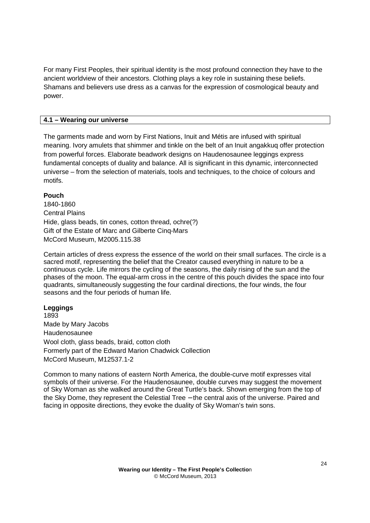For many First Peoples, their spiritual identity is the most profound connection they have to the ancient worldview of their ancestors. Clothing plays a key role in sustaining these beliefs. Shamans and believers use dress as a canvas for the expression of cosmological beauty and power.

## **4.1 – Wearing our universe**

The garments made and worn by First Nations, Inuit and Métis are infused with spiritual meaning. Ivory amulets that shimmer and tinkle on the belt of an Inuit angakkuq offer protection from powerful forces. Elaborate beadwork designs on Haudenosaunee leggings express fundamental concepts of duality and balance. All is significant in this dynamic, interconnected universe – from the selection of materials, tools and techniques, to the choice of colours and motifs.

### **Pouch**

1840-1860 Central Plains Hide, glass beads, tin cones, cotton thread, ochre(?) Gift of the Estate of Marc and Gilberte Cinq-Mars McCord Museum, M2005.115.38

Certain articles of dress express the essence of the world on their small surfaces. The circle is a sacred motif, representing the belief that the Creator caused everything in nature to be a continuous cycle. Life mirrors the cycling of the seasons, the daily rising of the sun and the phases of the moon. The equal-arm cross in the centre of this pouch divides the space into four quadrants, simultaneously suggesting the four cardinal directions, the four winds, the four seasons and the four periods of human life.

### **Leggings**

1893 Made by Mary Jacobs Haudenosaunee Wool cloth, glass beads, braid, cotton cloth Formerly part of the Edward Marion Chadwick Collection McCord Museum, M12537.1-2

Common to many nations of eastern North America, the double-curve motif expresses vital symbols of their universe. For the Haudenosaunee, double curves may suggest the movement of Sky Woman as she walked around the Great Turtle's back. Shown emerging from the top of the Sky Dome, they represent the Celestial Tree − the central axis of the universe. Paired and facing in opposite directions, they evoke the duality of Sky Woman's twin sons.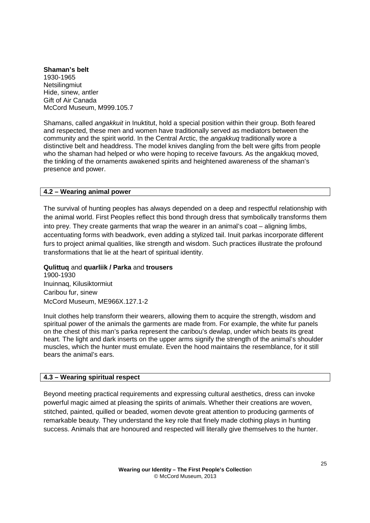**Shaman's belt**  1930-1965 **Netsilingmiut** Hide, sinew, antler Gift of Air Canada McCord Museum, M999.105.7

Shamans, called angakkuit in Inuktitut, hold a special position within their group. Both feared and respected, these men and women have traditionally served as mediators between the community and the spirit world. In the Central Arctic, the *angakkuq* traditionally wore a distinctive belt and headdress. The model knives dangling from the belt were gifts from people who the shaman had helped or who were hoping to receive favours. As the angakkuq moved, the tinkling of the ornaments awakened spirits and heightened awareness of the shaman's presence and power.

### **4.2 – Wearing animal power**

The survival of hunting peoples has always depended on a deep and respectful relationship with the animal world. First Peoples reflect this bond through dress that symbolically transforms them into prey. They create garments that wrap the wearer in an animal's coat – aligning limbs, accentuating forms with beadwork, even adding a stylized tail. Inuit parkas incorporate different furs to project animal qualities, like strength and wisdom. Such practices illustrate the profound transformations that lie at the heart of spiritual identity.

### **Qulittuq** and **quarliik / Parka** and **trousers**

1900-1930 Inuinnaq, Kilusiktormiut Caribou fur, sinew McCord Museum, ME966X.127.1-2

Inuit clothes help transform their wearers, allowing them to acquire the strength, wisdom and spiritual power of the animals the garments are made from. For example, the white fur panels on the chest of this man's parka represent the caribou's dewlap, under which beats its great heart. The light and dark inserts on the upper arms signify the strength of the animal's shoulder muscles, which the hunter must emulate. Even the hood maintains the resemblance, for it still bears the animal's ears.

# **4.3 – Wearing spiritual respect**

Beyond meeting practical requirements and expressing cultural aesthetics, dress can invoke powerful magic aimed at pleasing the spirits of animals. Whether their creations are woven, stitched, painted, quilled or beaded, women devote great attention to producing garments of remarkable beauty. They understand the key role that finely made clothing plays in hunting success. Animals that are honoured and respected will literally give themselves to the hunter.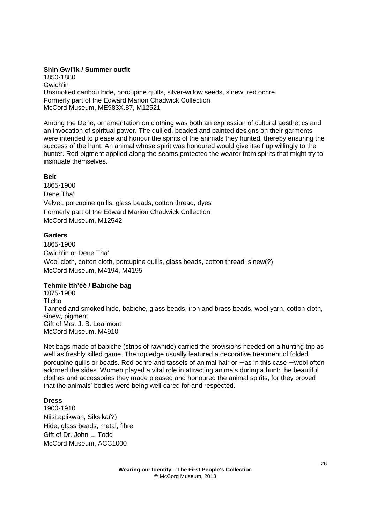### **Shin Gwi'ik / Summer outfit**

1850-1880 Gwich'in Unsmoked caribou hide, porcupine quills, silver-willow seeds, sinew, red ochre Formerly part of the Edward Marion Chadwick Collection McCord Museum, ME983X.87, M12521

Among the Dene, ornamentation on clothing was both an expression of cultural aesthetics and an invocation of spiritual power. The quilled, beaded and painted designs on their garments were intended to please and honour the spirits of the animals they hunted, thereby ensuring the success of the hunt. An animal whose spirit was honoured would give itself up willingly to the hunter. Red pigment applied along the seams protected the wearer from spirits that might try to insinuate themselves.

### **Belt**

1865-1900 Dene Tha' Velvet, porcupine quills, glass beads, cotton thread, dyes Formerly part of the Edward Marion Chadwick Collection McCord Museum, M12542

### **Garters**

1865-1900 Gwich'in or Dene Tha' Wool cloth, cotton cloth, porcupine quills, glass beads, cotton thread, sinew(?) McCord Museum, M4194, M4195

### **Tehmíe tth'éé / Babiche bag**

1875-1900 Tlicho Tanned and smoked hide, babiche, glass beads, iron and brass beads, wool yarn, cotton cloth, sinew, pigment Gift of Mrs. J. B. Learmont McCord Museum, M4910

Net bags made of babiche (strips of rawhide) carried the provisions needed on a hunting trip as well as freshly killed game. The top edge usually featured a decorative treatment of folded porcupine quills or beads. Red ochre and tassels of animal hair or − as in this case − wool often adorned the sides. Women played a vital role in attracting animals during a hunt: the beautiful clothes and accessories they made pleased and honoured the animal spirits, for they proved that the animals' bodies were being well cared for and respected.

### **Dress**

1900-1910 Niisitapiikwan, Siksika(?) Hide, glass beads, metal, fibre Gift of Dr. John L. Todd McCord Museum, ACC1000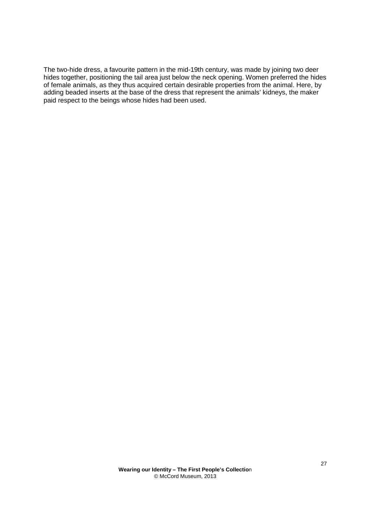The two-hide dress, a favourite pattern in the mid-19th century, was made by joining two deer hides together, positioning the tail area just below the neck opening. Women preferred the hides of female animals, as they thus acquired certain desirable properties from the animal. Here, by adding beaded inserts at the base of the dress that represent the animals' kidneys, the maker paid respect to the beings whose hides had been used.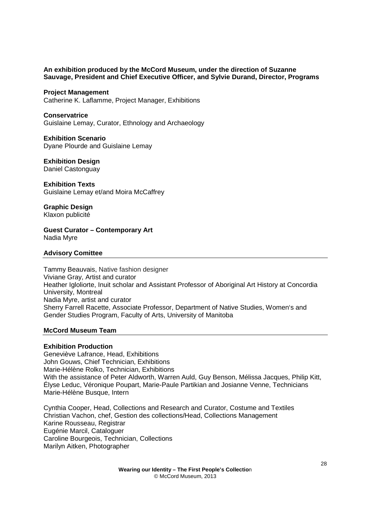### **An exhibition produced by the McCord Museum, under the direction of Suzanne Sauvage, President and Chief Executive Officer, and Sylvie Durand, Director, Programs**

#### **Project Management**

Catherine K. Laflamme, Project Manager, Exhibitions

#### **Conservatrice**

Guislaine Lemay, Curator, Ethnology and Archaeology

#### **Exhibition Scenario**

Dyane Plourde and Guislaine Lemay

### **Exhibition Design**

Daniel Castonguay

#### **Exhibition Texts**  Guislaine Lemay et/and Moira McCaffrey

**Graphic Design**  Klaxon publicité

**Guest Curator – Contemporary Art**  Nadia Myre

#### **Advisory Comittee**

Tammy Beauvais, Native fashion designer Viviane Gray, Artist and curator Heather Igloliorte, Inuit scholar and Assistant Professor of Aboriginal Art History at Concordia University, Montreal Nadia Myre, artist and curator Sherry Farrell Racette, Associate Professor, Department of Native Studies, Women's and Gender Studies Program, Faculty of Arts, University of Manitoba

### **McCord Museum Team**

#### **Exhibition Production**

Geneviève Lafrance, Head, Exhibitions John Gouws, Chief Technician, Exhibitions Marie-Hélène Rolko, Technician, Exhibitions With the assistance of Peter Aldworth, Warren Auld, Guy Benson, Mélissa Jacques, Philip Kitt, Élyse Leduc, Véronique Poupart, Marie-Paule Partikian and Josianne Venne, Technicians Marie-Hélène Busque, Intern

Cynthia Cooper, Head, Collections and Research and Curator, Costume and Textiles Christian Vachon, chef, Gestion des collections/Head, Collections Management Karine Rousseau, Registrar Eugénie Marcil, Cataloguer Caroline Bourgeois, Technician, Collections Marilyn Aitken, Photographer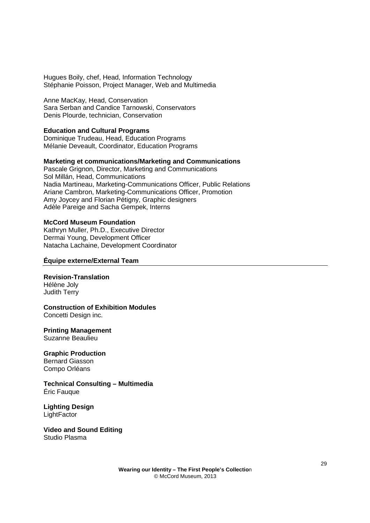Hugues Boily, chef, Head, Information Technology Stéphanie Poisson, Project Manager, Web and Multimedia

Anne MacKay, Head, Conservation Sara Serban and Candice Tarnowski, Conservators Denis Plourde, technician, Conservation

### **Education and Cultural Programs**

Dominique Trudeau, Head, Education Programs Mélanie Deveault, Coordinator, Education Programs

### **Marketing et communications/Marketing and Communications**

Pascale Grignon, Director, Marketing and Communications Sol Millán, Head, Communications Nadia Martineau, Marketing-Communications Officer, Public Relations Ariane Cambron, Marketing-Communications Officer, Promotion Amy Joycey and Florian Pétigny, Graphic designers Adèle Pareige and Sacha Gempek, Interns

#### **McCord Museum Foundation**

Kathryn Muller, Ph.D., Executive Director Dermai Young, Development Officer Natacha Lachaine, Development Coordinator

### **Équipe externe/External Team**

#### **Revision-Translation**  Hélène Joly

Judith Terry

### **Construction of Exhibition Modules**

Concetti Design inc.

# **Printing Management**

Suzanne Beaulieu

# **Graphic Production**

Bernard Giasson Compo Orléans

**Technical Consulting – Multimedia**  Éric Fauque

**Lighting Design LightFactor** 

**Video and Sound Editing**  Studio Plasma